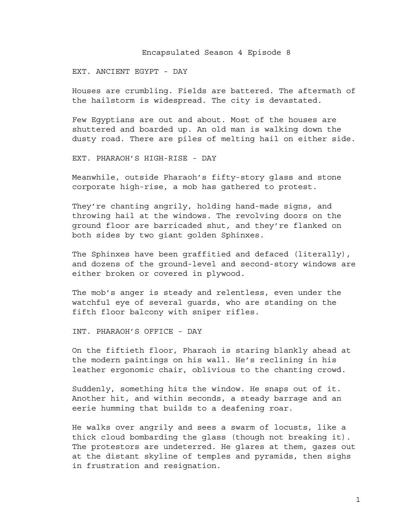#### Encapsulated Season 4 Episode 8

#### EXT. ANCIENT EGYPT - DAY

Houses are crumbling. Fields are battered. The aftermath of the hailstorm is widespread. The city is devastated.

Few Egyptians are out and about. Most of the houses are shuttered and boarded up. An old man is walking down the dusty road. There are piles of melting hail on either side.

EXT. PHARAOH'S HIGH-RISE - DAY

Meanwhile, outside Pharaoh's fifty-story glass and stone corporate high-rise, a mob has gathered to protest.

They're chanting angrily, holding hand-made signs, and throwing hail at the windows. The revolving doors on the ground floor are barricaded shut, and they're flanked on both sides by two giant golden Sphinxes.

The Sphinxes have been graffitied and defaced (literally), and dozens of the ground-level and second-story windows are either broken or covered in plywood.

The mob's anger is steady and relentless, even under the watchful eye of several guards, who are standing on the fifth floor balcony with sniper rifles.

INT. PHARAOH'S OFFICE - DAY

On the fiftieth floor, Pharaoh is staring blankly ahead at the modern paintings on his wall. He's reclining in his leather ergonomic chair, oblivious to the chanting crowd.

Suddenly, something hits the window. He snaps out of it. Another hit, and within seconds, a steady barrage and an eerie humming that builds to a deafening roar.

He walks over angrily and sees a swarm of locusts, like a thick cloud bombarding the glass (though not breaking it). The protestors are undeterred. He glares at them, gazes out at the distant skyline of temples and pyramids, then sighs in frustration and resignation.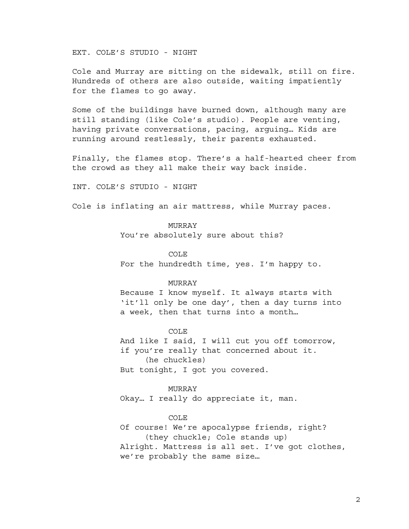EXT. COLE'S STUDIO - NIGHT

Cole and Murray are sitting on the sidewalk, still on fire. Hundreds of others are also outside, waiting impatiently for the flames to go away.

Some of the buildings have burned down, although many are still standing (like Cole's studio). People are venting, having private conversations, pacing, arguing… Kids are running around restlessly, their parents exhausted.

Finally, the flames stop. There's a half-hearted cheer from the crowd as they all make their way back inside.

INT. COLE'S STUDIO - NIGHT

Cole is inflating an air mattress, while Murray paces.

## MURRAY

You're absolutely sure about this?

#### COLE

For the hundredth time, yes. I'm happy to.

## MURRAY

Because I know myself. It always starts with 'it'll only be one day', then a day turns into a week, then that turns into a month…

COLE And like I said, I will cut you off tomorrow, if you're really that concerned about it. (he chuckles) But tonight, I got you covered.

#### MURRAY

Okay… I really do appreciate it, man.

### COLE

Of course! We're apocalypse friends, right? (they chuckle; Cole stands up) Alright. Mattress is all set. I've got clothes, we're probably the same size…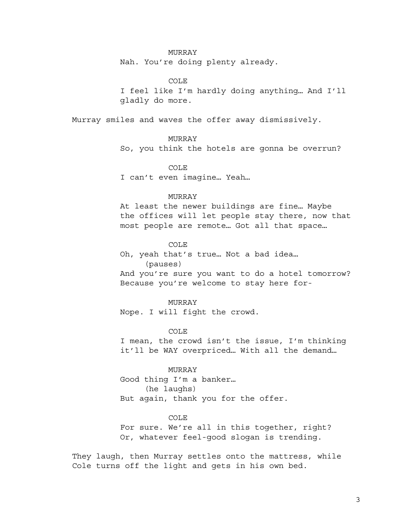### MURRAY

Nah. You're doing plenty already.

COLE I feel like I'm hardly doing anything… And I'll gladly do more.

Murray smiles and waves the offer away dismissively.

MURRAY So, you think the hotels are gonna be overrun?

COLE I can't even imagine… Yeah…

#### MURRAY

At least the newer buildings are fine… Maybe the offices will let people stay there, now that most people are remote… Got all that space…

COLE Oh, yeah that's true… Not a bad idea… (pauses)

And you're sure you want to do a hotel tomorrow? Because you're welcome to stay here for-

## MURRAY

Nope. I will fight the crowd.

COLE

I mean, the crowd isn't the issue, I'm thinking it'll be WAY overpriced… With all the demand…

#### MURRAY

Good thing I'm a banker… (he laughs) But again, thank you for the offer.

### COLE

For sure. We're all in this together, right? Or, whatever feel-good slogan is trending.

They laugh, then Murray settles onto the mattress, while Cole turns off the light and gets in his own bed.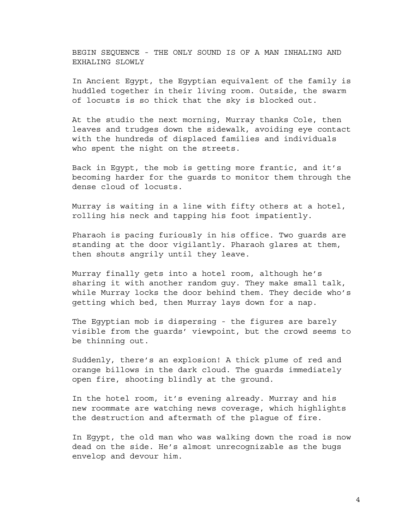BEGIN SEQUENCE - THE ONLY SOUND IS OF A MAN INHALING AND EXHALING SLOWLY

In Ancient Egypt, the Egyptian equivalent of the family is huddled together in their living room. Outside, the swarm of locusts is so thick that the sky is blocked out.

At the studio the next morning, Murray thanks Cole, then leaves and trudges down the sidewalk, avoiding eye contact with the hundreds of displaced families and individuals who spent the night on the streets.

Back in Egypt, the mob is getting more frantic, and it's becoming harder for the guards to monitor them through the dense cloud of locusts.

Murray is waiting in a line with fifty others at a hotel, rolling his neck and tapping his foot impatiently.

Pharaoh is pacing furiously in his office. Two guards are standing at the door vigilantly. Pharaoh glares at them, then shouts angrily until they leave.

Murray finally gets into a hotel room, although he's sharing it with another random guy. They make small talk, while Murray locks the door behind them. They decide who's getting which bed, then Murray lays down for a nap.

The Egyptian mob is dispersing - the figures are barely visible from the guards' viewpoint, but the crowd seems to be thinning out.

Suddenly, there's an explosion! A thick plume of red and orange billows in the dark cloud. The guards immediately open fire, shooting blindly at the ground.

In the hotel room, it's evening already. Murray and his new roommate are watching news coverage, which highlights the destruction and aftermath of the plague of fire.

In Egypt, the old man who was walking down the road is now dead on the side. He's almost unrecognizable as the bugs envelop and devour him.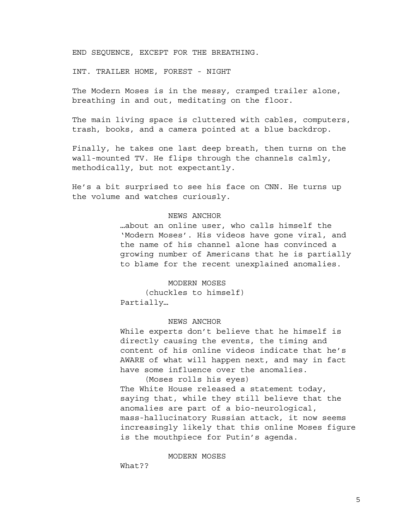END SEQUENCE, EXCEPT FOR THE BREATHING.

INT. TRAILER HOME, FOREST - NIGHT

The Modern Moses is in the messy, cramped trailer alone, breathing in and out, meditating on the floor.

The main living space is cluttered with cables, computers, trash, books, and a camera pointed at a blue backdrop.

Finally, he takes one last deep breath, then turns on the wall-mounted TV. He flips through the channels calmly, methodically, but not expectantly.

He's a bit surprised to see his face on CNN. He turns up the volume and watches curiously.

### NEWS ANCHOR

…about an online user, who calls himself the 'Modern Moses'. His videos have gone viral, and the name of his channel alone has convinced a growing number of Americans that he is partially to blame for the recent unexplained anomalies.

## MODERN MOSES

(chuckles to himself) Partially…

#### NEWS ANCHOR

While experts don't believe that he himself is directly causing the events, the timing and content of his online videos indicate that he's AWARE of what will happen next, and may in fact have some influence over the anomalies.

(Moses rolls his eyes) The White House released a statement today, saying that, while they still believe that the anomalies are part of a bio-neurological, mass-hallucinatory Russian attack, it now seems increasingly likely that this online Moses figure is the mouthpiece for Putin's agenda.

MODERN MOSES

What??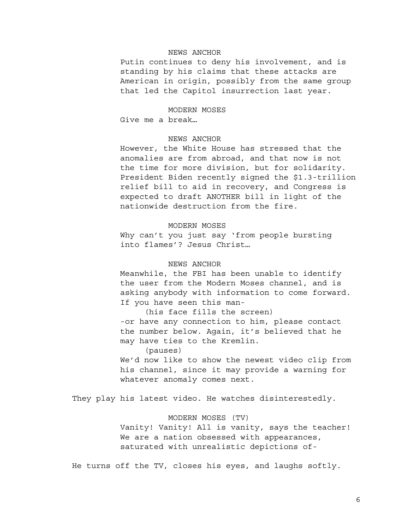# NEWS ANCHOR

Putin continues to deny his involvement, and is standing by his claims that these attacks are American in origin, possibly from the same group that led the Capitol insurrection last year.

## MODERN MOSES

Give me a break…

## NEWS ANCHOR

However, the White House has stressed that the anomalies are from abroad, and that now is not the time for more division, but for solidarity. President Biden recently signed the \$1.3-trillion relief bill to aid in recovery, and Congress is expected to draft ANOTHER bill in light of the nationwide destruction from the fire.

# MODERN MOSES

Why can't you just say 'from people bursting into flames'? Jesus Christ…

## NEWS ANCHOR

Meanwhile, the FBI has been unable to identify the user from the Modern Moses channel, and is asking anybody with information to come forward. If you have seen this man-

(his face fills the screen) -or have any connection to him, please contact the number below. Again, it's believed that he may have ties to the Kremlin.

(pauses)

We'd now like to show the newest video clip from his channel, since it may provide a warning for whatever anomaly comes next.

They play his latest video. He watches disinterestedly.

#### MODERN MOSES (TV)

Vanity! Vanity! All is vanity, says the teacher! We are a nation obsessed with appearances, saturated with unrealistic depictions of-

He turns off the TV, closes his eyes, and laughs softly.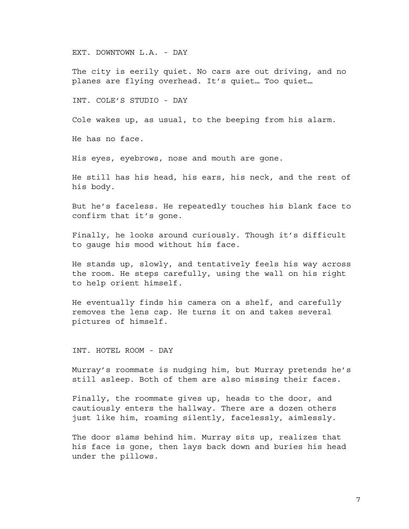EXT. DOWNTOWN L.A. - DAY

The city is eerily quiet. No cars are out driving, and no planes are flying overhead. It's quiet… Too quiet…

INT. COLE'S STUDIO - DAY

Cole wakes up, as usual, to the beeping from his alarm.

He has no face.

His eyes, eyebrows, nose and mouth are gone.

He still has his head, his ears, his neck, and the rest of his body.

But he's faceless. He repeatedly touches his blank face to confirm that it's gone.

Finally, he looks around curiously. Though it's difficult to gauge his mood without his face.

He stands up, slowly, and tentatively feels his way across the room. He steps carefully, using the wall on his right to help orient himself.

He eventually finds his camera on a shelf, and carefully removes the lens cap. He turns it on and takes several pictures of himself.

INT. HOTEL ROOM - DAY

Murray's roommate is nudging him, but Murray pretends he's still asleep. Both of them are also missing their faces.

Finally, the roommate gives up, heads to the door, and cautiously enters the hallway. There are a dozen others just like him, roaming silently, facelessly, aimlessly.

The door slams behind him. Murray sits up, realizes that his face is gone, then lays back down and buries his head under the pillows.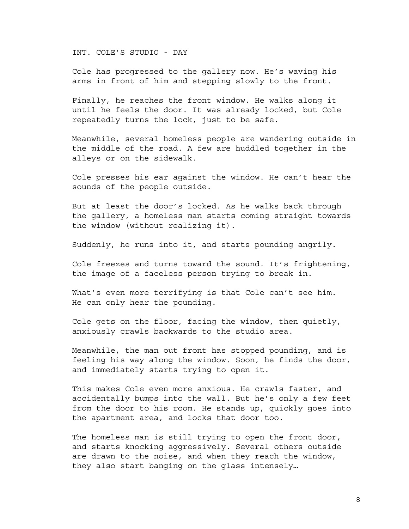INT. COLE'S STUDIO - DAY

Cole has progressed to the gallery now. He's waving his arms in front of him and stepping slowly to the front.

Finally, he reaches the front window. He walks along it until he feels the door. It was already locked, but Cole repeatedly turns the lock, just to be safe.

Meanwhile, several homeless people are wandering outside in the middle of the road. A few are huddled together in the alleys or on the sidewalk.

Cole presses his ear against the window. He can't hear the sounds of the people outside.

But at least the door's locked. As he walks back through the gallery, a homeless man starts coming straight towards the window (without realizing it).

Suddenly, he runs into it, and starts pounding angrily.

Cole freezes and turns toward the sound. It's frightening, the image of a faceless person trying to break in.

What's even more terrifying is that Cole can't see him. He can only hear the pounding.

Cole gets on the floor, facing the window, then quietly, anxiously crawls backwards to the studio area.

Meanwhile, the man out front has stopped pounding, and is feeling his way along the window. Soon, he finds the door, and immediately starts trying to open it.

This makes Cole even more anxious. He crawls faster, and accidentally bumps into the wall. But he's only a few feet from the door to his room. He stands up, quickly goes into the apartment area, and locks that door too.

The homeless man is still trying to open the front door, and starts knocking aggressively. Several others outside are drawn to the noise, and when they reach the window, they also start banging on the glass intensely…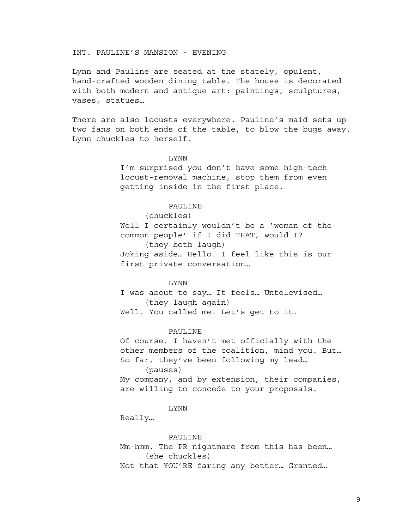INT. PAULINE'S MANSION - EVENING

Lynn and Pauline are seated at the stately, opulent, hand-crafted wooden dining table. The house is decorated with both modern and antique art: paintings, sculptures, vases, statues…

There are also locusts everywhere. Pauline's maid sets up two fans on both ends of the table, to blow the bugs away. Lynn chuckles to herself.

## LYNN

I'm surprised you don't have some high-tech locust-removal machine, stop them from even getting inside in the first place.

## PAULINE

(chuckles)

Well I certainly wouldn't be a 'woman of the common people' if I did THAT, would I? (they both laugh) Joking aside… Hello. I feel like this is our first private conversation…

### LYNN

I was about to say… It feels… Untelevised… (they laugh again) Well. You called me. Let's get to it.

#### PAULINE

Of course. I haven't met officially with the other members of the coalition, mind you. But… So far, they've been following my lead… (pauses) My company, and by extension, their companies, are willing to concede to your proposals.

#### LYNN

Really…

#### PAULINE

Mm-hmm. The PR nightmare from this has been… (she chuckles) Not that YOU'RE faring any better… Granted…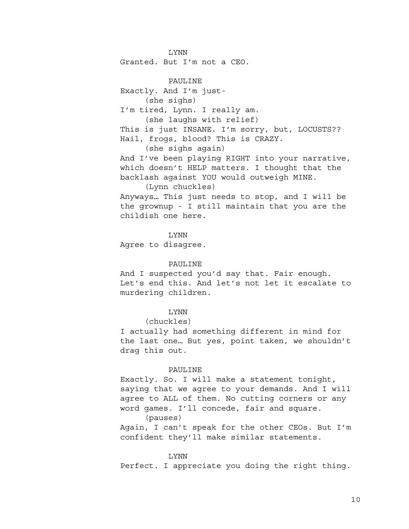LYNN Granted. But I'm not a CEO.

PAULINE Exactly. And I'm just- (she sighs) I'm tired, Lynn. I really am. (she laughs with relief) This is just INSANE. I'm sorry, but, LOCUSTS?? Hail, frogs, blood? This is CRAZY. (she sighs again) And I've been playing RIGHT into your narrative, which doesn't HELP matters. I thought that the backlash against YOU would outweigh MINE. (Lynn chuckles) Anyways… This just needs to stop, and I will be

the grownup - I still maintain that you are the childish one here.

LYNN Agree to disagree.

## PAULINE

And I suspected you'd say that. Fair enough. Let's end this. And let's not let it escalate to murdering children.

# LYNN

(chuckles)

I actually had something different in mind for the last one… But yes, point taken, we shouldn't drag this out.

#### PAULINE

Exactly. So. I will make a statement tonight, saying that we agree to your demands. And I will agree to ALL of them. No cutting corners or any word games. I'll concede, fair and square. (pauses)

Again, I can't speak for the other CEOs. But I'm confident they'll make similar statements.

#### LYNN

Perfect. I appreciate you doing the right thing.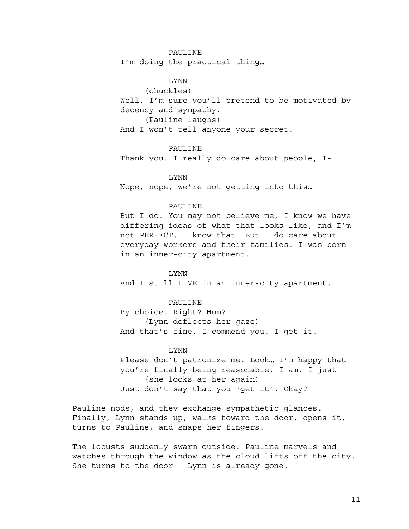## PAULINE

I'm doing the practical thing…

LYNN

(chuckles)

Well, I'm sure you'll pretend to be motivated by decency and sympathy.

(Pauline laughs)

And I won't tell anyone your secret.

#### PAULINE

Thank you. I really do care about people, I-

LYNN Nope, nope, we're not getting into this…

## PAULINE

But I do. You may not believe me, I know we have differing ideas of what that looks like, and I'm not PERFECT. I know that. But I do care about everyday workers and their families. I was born in an inner-city apartment.

## LYNN

And I still LIVE in an inner-city apartment.

## PAULINE

By choice. Right? Mmm? (Lynn deflects her gaze) And that's fine. I commend you. I get it.

### LYNN

Please don't patronize me. Look… I'm happy that you're finally being reasonable. I am. I just- (she looks at her again) Just don't say that you 'get it'. Okay?

Pauline nods, and they exchange sympathetic glances. Finally, Lynn stands up, walks toward the door, opens it, turns to Pauline, and snaps her fingers.

The locusts suddenly swarm outside. Pauline marvels and watches through the window as the cloud lifts off the city. She turns to the door - Lynn is already gone.